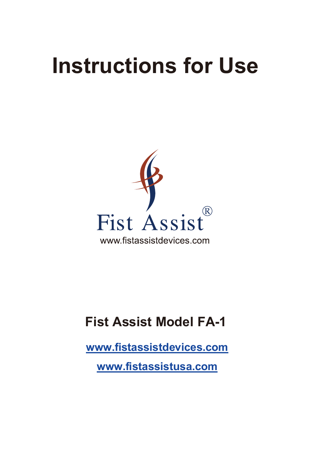# **Instructions for Use**



## **Fist Assist Model FA-1**

**www.fistassistdevices.com**

**www.fistassistusa.com**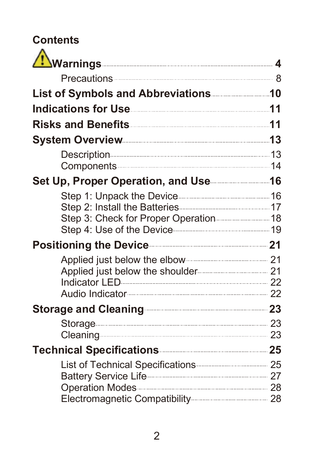# **Contents**

| List of Symbols and Abbreviations [10] List of Symbols and Abbreviations               |  |
|----------------------------------------------------------------------------------------|--|
| Indications for Use <b>Manual According to 11</b>                                      |  |
| Risks and Benefits <b>Commission and Senefits</b> 11                                   |  |
| System Overview 23                                                                     |  |
| Components 14                                                                          |  |
| Set Up, Proper Operation, and Use                                                      |  |
|                                                                                        |  |
| Positioning the Device 21                                                              |  |
| Applied just below the elbow <b>contain and the Applied</b> just<br>Audio Indicator 22 |  |
| Storage and Cleaning 23                                                                |  |
| Storage 23<br>Cleaning 23                                                              |  |
| Technical Specifications 25                                                            |  |
| List of Technical Specifications 25                                                    |  |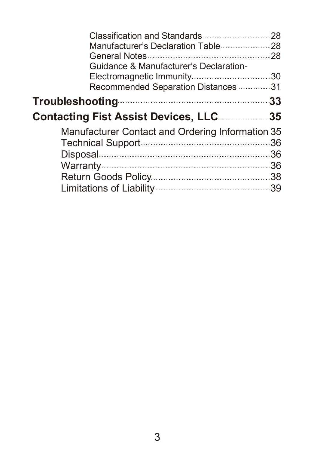| General Notes 28<br>Guidance & Manufacturer's Declaration-                                                                                                                                                                           |     |
|--------------------------------------------------------------------------------------------------------------------------------------------------------------------------------------------------------------------------------------|-----|
| Recommended Separation Distances 31                                                                                                                                                                                                  |     |
| <b>Troubleshooting</b>                                                                                                                                                                                                               | 33  |
| <b>Contacting Fist Assist Devices, LLC</b>                                                                                                                                                                                           | .35 |
| Manufacturer Contact and Ordering Information 35<br>Technical Support <b>Constitution</b> 36                                                                                                                                         |     |
| Disposal <b>Disposal Service Contract Contract Contract Contract Contract Contract Contract Contract Contract Contract Contract Contract Contract Contract Contract Contract Contract Contract Contract Contract Contract Contra</b> | .36 |
| Warranty 36                                                                                                                                                                                                                          |     |
|                                                                                                                                                                                                                                      |     |
|                                                                                                                                                                                                                                      |     |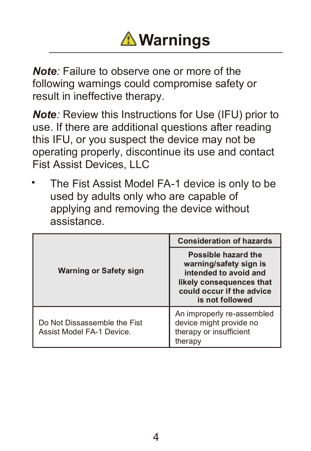

*Note:* Failure to observe one or more of the following warnings could compromise safety or result in ineffective therapy.

*Note:* Review this Instructions for Use (IFU) prior to use. If there are additional questions after reading this IFU, or you suspect the device may not be operating properly, discontinue its use and contact Fist Assist Devices, LLC

• The Fist Assist Model FA-1 device is only to be used by adults only who are capable of applying and removing the device without assistance.

|                                                           | <b>Consideration of hazards</b>                                                                                                                    |
|-----------------------------------------------------------|----------------------------------------------------------------------------------------------------------------------------------------------------|
| Warning or Safety sign                                    | Possible hazard the<br>warning/safety sign is<br>intended to avoid and<br>likely consequences that<br>could occur if the advice<br>is not followed |
| Do Not Dissassemble the Fist<br>Assist Model FA-1 Device. | An improperly re-assembled<br>device might provide no<br>therapy or insufficient<br>therapy                                                        |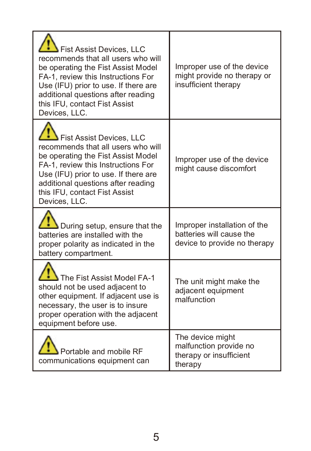| Fist Assist Devices, LLC<br>recommends that all users who will<br>be operating the Fist Assist Model<br>FA-1, review this Instructions For<br>Use (IFU) prior to use. If there are<br>additional questions after reading<br>this IFU, contact Fist Assist<br>Devices, LLC. | Improper use of the device<br>might provide no therapy or<br>insufficient therapy        |
|----------------------------------------------------------------------------------------------------------------------------------------------------------------------------------------------------------------------------------------------------------------------------|------------------------------------------------------------------------------------------|
| Fist Assist Devices, LLC<br>recommends that all users who will<br>be operating the Fist Assist Model<br>FA-1, review this Instructions For<br>Use (IFU) prior to use. If there are<br>additional questions after reading<br>this IFU, contact Fist Assist<br>Devices, LLC. | Improper use of the device<br>might cause discomfort                                     |
| During setup, ensure that the<br>batteries are installed with the<br>proper polarity as indicated in the<br>battery compartment.                                                                                                                                           | Improper installation of the<br>batteries will cause the<br>device to provide no therapy |
| The Fist Assist Model FA-1<br>should not be used adjacent to<br>other equipment. If adjacent use is<br>necessary, the user is to insure<br>proper operation with the adjacent<br>equipment before use.                                                                     | The unit might make the<br>adjacent equipment<br>malfunction                             |
| Portable and mobile RF<br>communications equipment can                                                                                                                                                                                                                     | The device might<br>malfunction provide no<br>therapy or insufficient<br>therapy         |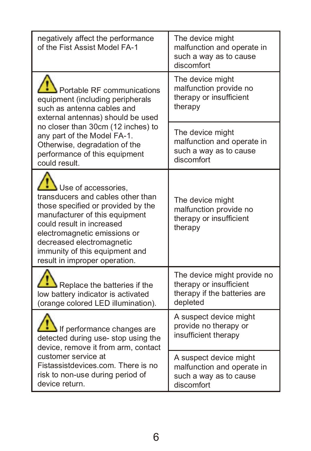| negatively affect the performance<br>of the Fist Assist Model FA-1                                                                                                                                                                                                                            | The device might<br>malfunction and operate in<br>such a way as to cause<br>discomfort             |
|-----------------------------------------------------------------------------------------------------------------------------------------------------------------------------------------------------------------------------------------------------------------------------------------------|----------------------------------------------------------------------------------------------------|
| Portable RF communications<br>equipment (including peripherals<br>such as antenna cables and<br>external antennas) should be used                                                                                                                                                             | The device might<br>malfunction provide no<br>therapy or insufficient<br>therapy                   |
| no closer than 30cm (12 inches) to<br>any part of the Model FA-1.<br>Otherwise, degradation of the<br>performance of this equipment<br>could result.                                                                                                                                          | The device might<br>malfunction and operate in<br>such a way as to cause<br>discomfort             |
| Use of accessories.<br>transducers and cables other than<br>those specified or provided by the<br>manufacturer of this equipment<br>could result in increased<br>electromagnetic emissions or<br>decreased electromagnetic<br>immunity of this equipment and<br>result in improper operation. | The device might<br>malfunction provide no<br>therapy or insufficient<br>therapy                   |
| Replace the batteries if the<br>low battery indicator is activated<br>(orange colored LED illumination).                                                                                                                                                                                      | The device might provide no<br>therapy or insufficient<br>therapy if the batteries are<br>depleted |
| If performance changes are<br>detected during use-stop using the<br>device, remove it from arm, contact                                                                                                                                                                                       | A suspect device might<br>provide no therapy or<br>insufficient therapy                            |
| customer service at<br>Fistassistdevices.com. There is no<br>risk to non-use during period of<br>device return.                                                                                                                                                                               | A suspect device might<br>malfunction and operate in<br>such a way as to cause<br>discomfort       |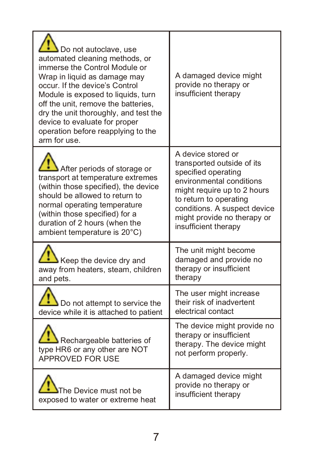| Do not autoclave, use<br>automated cleaning methods, or<br>immerse the Control Module or<br>Wrap in liquid as damage may<br>occur. If the device's Control<br>Module is exposed to liquids, turn<br>off the unit, remove the batteries,<br>dry the unit thoroughly, and test the<br>device to evaluate for proper<br>operation before reapplying to the<br>arm for use. | A damaged device might<br>provide no therapy or<br>insufficient therapy                                                                                                                                                                             |
|-------------------------------------------------------------------------------------------------------------------------------------------------------------------------------------------------------------------------------------------------------------------------------------------------------------------------------------------------------------------------|-----------------------------------------------------------------------------------------------------------------------------------------------------------------------------------------------------------------------------------------------------|
| After periods of storage or<br>transport at temperature extremes<br>(within those specified), the device<br>should be allowed to return to<br>normal operating temperature<br>(within those specified) for a<br>duration of 2 hours (when the<br>ambient temperature is 20°C)                                                                                           | A device stored or<br>transported outside of its<br>specified operating<br>environmental conditions<br>might require up to 2 hours<br>to return to operating<br>conditions. A suspect device<br>might provide no therapy or<br>insufficient therapy |
| Keep the device dry and<br>away from heaters, steam, children<br>and pets.                                                                                                                                                                                                                                                                                              | The unit might become<br>damaged and provide no<br>therapy or insufficient<br>therapy                                                                                                                                                               |
| Do not attempt to service the<br>device while it is attached to patient                                                                                                                                                                                                                                                                                                 | The user might increase<br>their risk of inadvertent<br>electrical contact                                                                                                                                                                          |
| Rechargeable batteries of<br>type HR6 or any other are NOT<br>APPROVED FOR USE                                                                                                                                                                                                                                                                                          | The device might provide no<br>therapy or insufficient<br>therapy. The device might<br>not perform properly.                                                                                                                                        |
| The Device must not be<br>exposed to water or extreme heat                                                                                                                                                                                                                                                                                                              | A damaged device might<br>provide no therapy or<br>insufficient therapy                                                                                                                                                                             |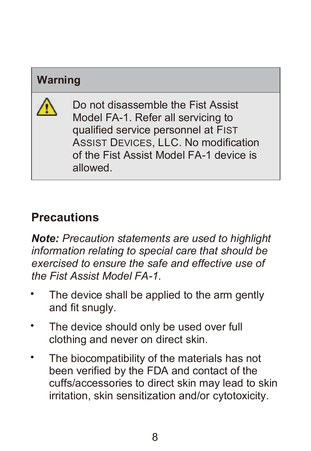### **Warning**



Do not disassemble the Fist Assist Model FA-1. Refer all servicing to qualified service personnel at FIST ASSIST DEVICES, LLC. No modification of the Fist Assist Model FA-1 device is allowed.

## **Precautions**

*Note: Precaution statements are used to highlight information relating to special care that should be exercised to ensure the safe and effective use of the Fist Assist Model FA-1.*

- The device shall be applied to the arm gently and fit snugly.
- The device should only be used over full clothing and never on direct skin.
- The biocompatibility of the materials has not been verified by the FDA and contact of the cuffs/accessories to direct skin may lead to skin irritation, skin sensitization and/or cytotoxicity.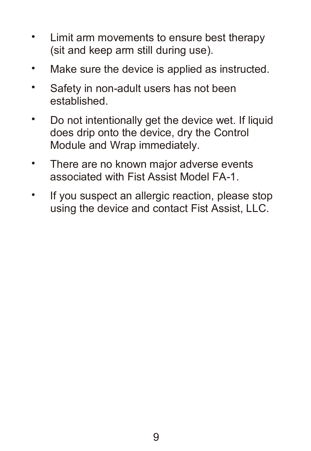- Limit arm movements to ensure best therapy (sit and keep arm still during use).
- Make sure the device is applied as instructed.
- Safety in non-adult users has not been established.
- Do not intentionally get the device wet. If liquid does drip onto the device, dry the Control Module and Wrap immediately.
- There are no known major adverse events associated with Fist Assist Model FA-1.
- If you suspect an allergic reaction, please stop using the device and contact Fist Assist, LLC.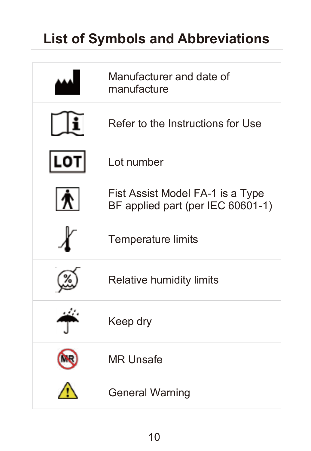## **List of Symbols and Abbreviations**

|     | Manufacturer and date of<br>manufacture                               |
|-----|-----------------------------------------------------------------------|
|     | Refer to the Instructions for Use                                     |
| LOT | Lot number                                                            |
| 1 R | Fist Assist Model FA-1 is a Type<br>BF applied part (per IEC 60601-1) |
|     | Temperature limits                                                    |
|     | Relative humidity limits                                              |
|     | Keep dry                                                              |
|     | <b>MR Unsafe</b>                                                      |
|     | <b>General Warning</b>                                                |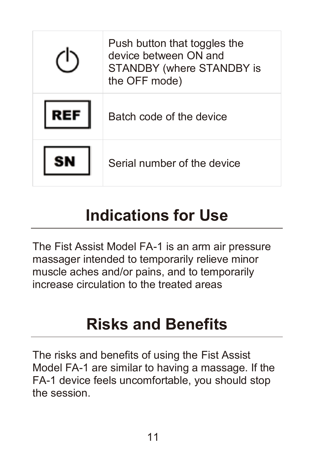| Push button that toggles the<br>device between ON and<br>STANDBY (where STANDBY is<br>the OFF mode) |
|-----------------------------------------------------------------------------------------------------|
| Batch code of the device                                                                            |
| Serial number of the device                                                                         |

## **Indications for Use**

The Fist Assist Model FA-1 is an arm air pressure massager intended to temporarily relieve minor muscle aches and/or pains, and to temporarily increase circulation to the treated areas

## **Risks and Benefits**

The risks and benefits of using the Fist Assist Model FA-1 are similar to having a massage. If the FA-1 device feels uncomfortable, you should stop the session.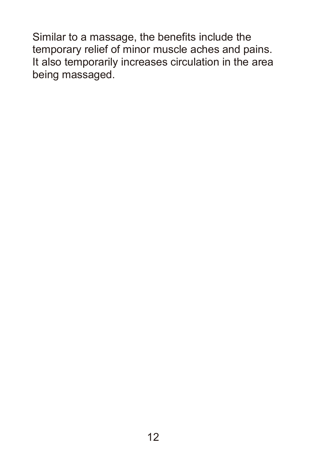Similar to a massage, the benefits include the temporary relief of minor muscle aches and pains. It also temporarily increases circulation in the area being massaged.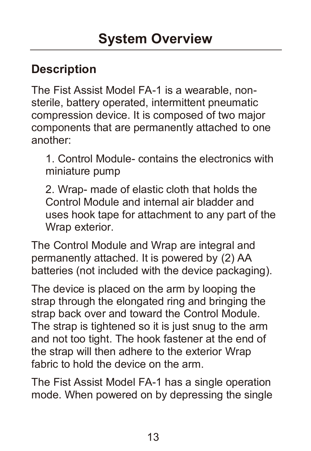### **Description**

The Fist Assist Model FA-1 is a wearable, nonsterile, battery operated, intermittent pneumatic compression device. It is composed of two major components that are permanently attached to one another:

1. Control Module- contains the electronics with miniature pump

2. Wrap- made of elastic cloth that holds the Control Module and internal air bladder and uses hook tape for attachment to any part of the Wrap exterior.

The Control Module and Wrap are integral and permanently attached. It is powered by (2) AA batteries (not included with the device packaging).

The device is placed on the arm by looping the strap through the elongated ring and bringing the strap back over and toward the Control Module. The strap is tightened so it is just snug to the arm and not too tight. The hook fastener at the end of the strap will then adhere to the exterior Wrap fabric to hold the device on the arm.

The Fist Assist Model FA-1 has a single operation mode. When powered on by depressing the single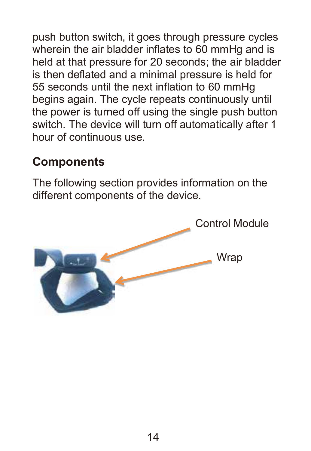push button switch, it goes through pressure cycles wherein the air bladder inflates to 60 mmHq and is held at that pressure for 20 seconds; the air bladder is then deflated and a minimal pressure is held for 55 seconds until the next inflation to 60 mmHg begins again. The cycle repeats continuously until the power is turned off using the single push button switch. The device will turn off automatically after 1 hour of continuous use.

### **Components**

The following section provides information on the different components of the device.

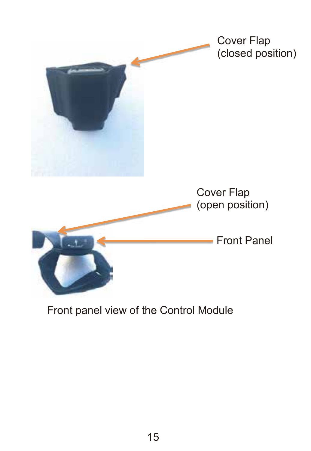

#### Front panel view of the Control Module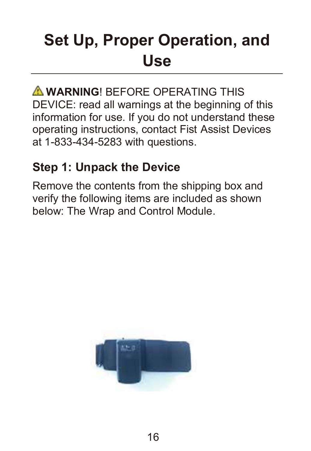# **Set Up, Proper Operation, and Use**

**WARNING! BEFORE OPERATING THIS** DEVICE: read all warnings at the beginning of this information for use. If you do not understand these operating instructions, contact Fist Assist Devices at 1-833-434-5283 with questions.

### **Step 1: Unpack the Device**

Remove the contents from the shipping box and verify the following items are included as shown below: The Wrap and Control Module.

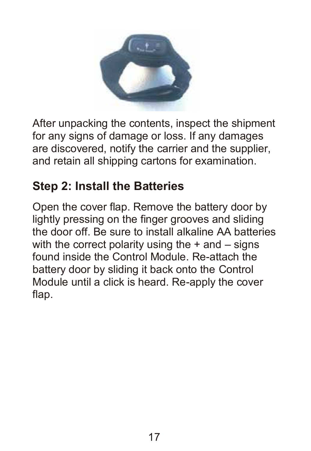

After unpacking the contents, inspect the shipment for any signs of damage or loss. If any damages are discovered, notify the carrier and the supplier, and retain all shipping cartons for examination.

### **Step 2: Install the Batteries**

Open the cover flap. Remove the battery door by lightly pressing on the finger grooves and sliding the door off. Be sure to install alkaline AA batteries with the correct polarity using the  $+$  and  $-$  signs found inside the Control Module. Re-attach the battery door by sliding it back onto the Control Module until a click is heard. Re-apply the cover flap.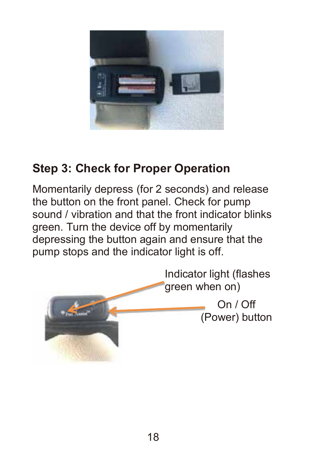

### **Step 3: Check for Proper Operation**

Momentarily depress (for 2 seconds) and release the button on the front panel. Check for pump sound / vibration and that the front indicator blinks green. Turn the device off by momentarily depressing the button again and ensure that the pump stops and the indicator light is off.

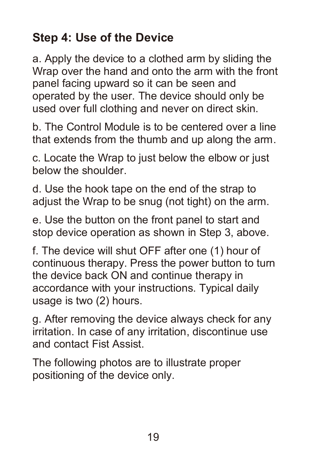## **Step 4: Use of the Device**

a. Apply the device to a clothed arm by sliding the Wrap over the hand and onto the arm with the front panel facing upward so it can be seen and operated by the user. The device should only be used over full clothing and never on direct skin.

b. The Control Module is to be centered over a line that extends from the thumb and up along the arm.

c. Locate the Wrap to just below the elbow or just below the shoulder.

d. Use the hook tape on the end of the strap to adjust the Wrap to be snug (not tight) on the arm.

e. Use the button on the front panel to start and stop device operation as shown in Step 3, above.

f. The device will shut OFF after one (1) hour of continuous therapy. Press the power button to turn the device back ON and continue therapy in accordance with your instructions. Typical daily usage is two (2) hours.

g. After removing the device always check for any irritation. In case of any irritation, discontinue use and contact Fist Assist.

The following photos are to illustrate proper positioning of the device only.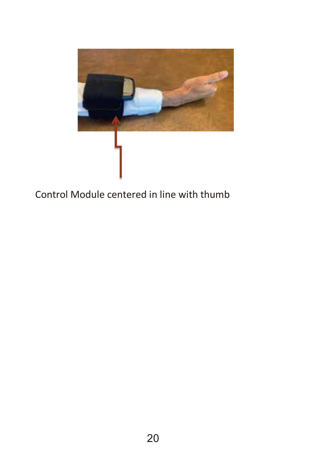

#### Control Module centered in line with thumb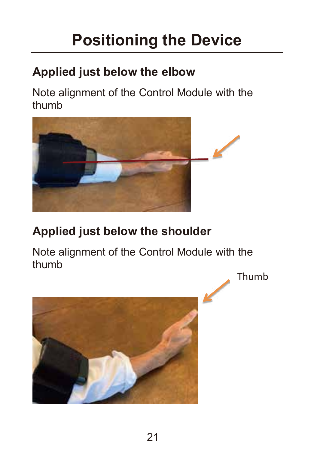## **Positioning the Device**

## **Applied just below the elbow**

Note alignment of the Control Module with the thumb



## **Applied just below the shoulder**

Note alignment of the Control Module with the thumb Thumb

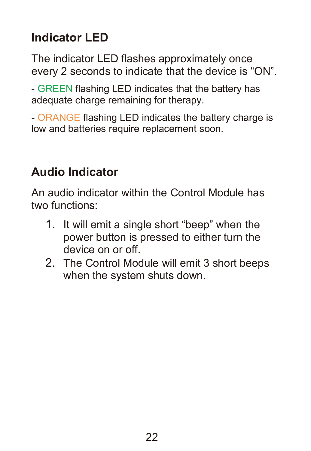## **Indicator LED**

The indicator LED flashes approximately once every 2 seconds to indicate that the device is "ON".

- GREEN flashing LED indicates that the battery has adequate charge remaining for therapy.

- ORANGE flashing LED indicates the battery charge is low and batteries require replacement soon.

### **Audio Indicator**

An audio indicator within the Control Module has two functions:

- 1. It will emit a single short "beep" when the power button is pressed to either turn the device on or off.
- 2. The Control Module will emit 3 short beeps when the system shuts down.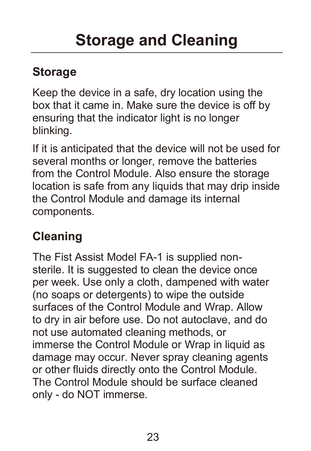## **Storage**

Keep the device in a safe, dry location using the box that it came in. Make sure the device is off by ensuring that the indicator light is no longer blinking.

If it is anticipated that the device will not be used for several months or longer, remove the batteries from the Control Module. Also ensure the storage location is safe from any liquids that may drip inside the Control Module and damage its internal components.

## **Cleaning**

The Fist Assist Model FA-1 is supplied nonsterile. It is suggested to clean the device once per week. Use only a cloth, dampened with water (no soaps or detergents) to wipe the outside surfaces of the Control Module and Wrap. Allow to dry in air before use. Do not autoclave, and do not use automated cleaning methods, or immerse the Control Module or Wrap in liquid as damage may occur. Never spray cleaning agents or other fluids directly onto the Control Module. The Control Module should be surface cleaned only - do NOT immerse.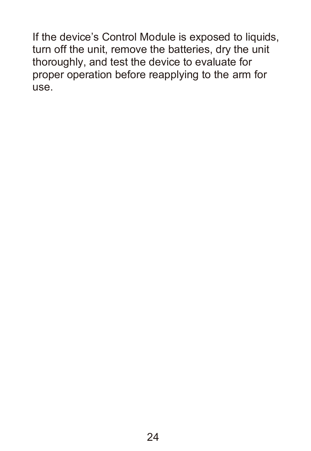If the device's Control Module is exposed to liquids, turn off the unit, remove the batteries, dry the unit thoroughly, and test the device to evaluate for proper operation before reapplying to the arm for use.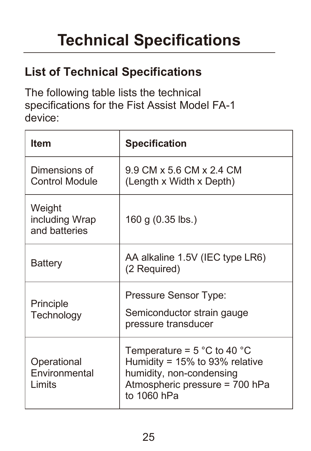# **Technical Specifications**

## **List of Technical Specifications**

The following table lists the technical specifications for the Fist Assist Model FA-1 device:

| <b>Item</b>                                    | <b>Specification</b>                                                                                                                                             |  |
|------------------------------------------------|------------------------------------------------------------------------------------------------------------------------------------------------------------------|--|
| Dimensions of<br><b>Control Module</b>         | 9.9 CM x 5.6 CM x 2.4 CM<br>(Length x Width x Depth)                                                                                                             |  |
| Weight<br>including Wrap<br>and batteries      | 160 g (0.35 lbs.)                                                                                                                                                |  |
| Battery                                        | AA alkaline 1.5V (IEC type LR6)<br>(2 Required)                                                                                                                  |  |
| Principle<br>Technology                        | Pressure Sensor Type:<br>Semiconductor strain gauge<br>pressure transducer                                                                                       |  |
| Operational<br><b>Fnvironmental</b><br>I imits | Temperature = $5^{\circ}$ C to 40 $^{\circ}$ C<br>Humidity = $15\%$ to 93% relative<br>humidity, non-condensing<br>Atmospheric pressure = 700 hPa<br>to 1060 hPa |  |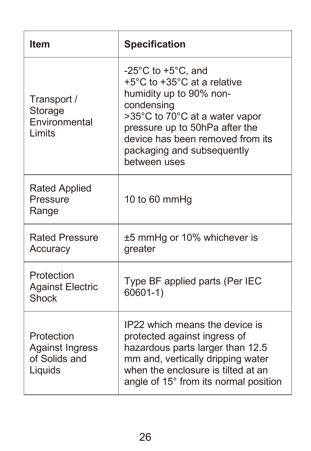| <b>Item</b>                                               | <b>Specification</b>                                                                                                                                                                                                                                                 |
|-----------------------------------------------------------|----------------------------------------------------------------------------------------------------------------------------------------------------------------------------------------------------------------------------------------------------------------------|
| Transport /<br>Storage<br>Environmental<br>I imits        | $-25^{\circ}$ C to $+5^{\circ}$ C, and<br>+5°C to +35°C at a relative<br>humidity up to 90% non-<br>condensing<br>>35°C to 70°C at a water vapor<br>pressure up to 50hPa after the<br>device has been removed from its<br>packaging and subsequently<br>between uses |
| Rated Applied<br>Pressure<br>Range                        | 10 to 60 mmHg                                                                                                                                                                                                                                                        |
| <b>Rated Pressure</b><br>Accuracy                         | ±5 mmHg or 10% whichever is<br>greater                                                                                                                                                                                                                               |
| Protection<br><b>Against Electric</b><br>Shock            | Type BF applied parts (Per IEC<br>$60601-1)$                                                                                                                                                                                                                         |
| Protection<br>Against Ingress<br>of Solids and<br>Liquids | IP22 which means the device is<br>protected against ingress of<br>hazardous parts larger than 12.5<br>mm and, vertically dripping water<br>when the enclosure is tilted at an<br>angle of 15° from its normal position                                               |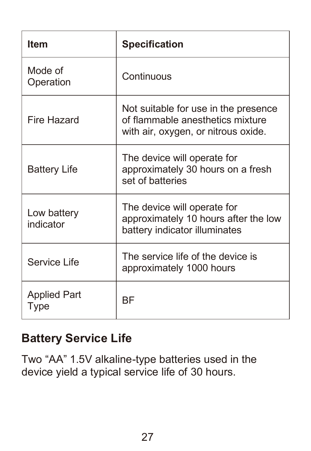| <b>Item</b>              | <b>Specification</b>                                                                                            |  |
|--------------------------|-----------------------------------------------------------------------------------------------------------------|--|
| Mode of<br>Operation     | Continuous                                                                                                      |  |
| Fire Hazard              | Not suitable for use in the presence<br>of flammable anesthetics mixture<br>with air, oxygen, or nitrous oxide. |  |
| Battery Life             | The device will operate for<br>approximately 30 hours on a fresh<br>set of batteries                            |  |
| Low battery<br>indicator | The device will operate for<br>approximately 10 hours after the low<br>battery indicator illuminates            |  |
| Service Life             | The service life of the device is<br>approximately 1000 hours                                                   |  |
| Applied Part<br>Type     | ВF                                                                                                              |  |

### **Battery Service Life**

Two "AA" 1.5V alkaline-type batteries used in the device yield a typical service life of 30 hours.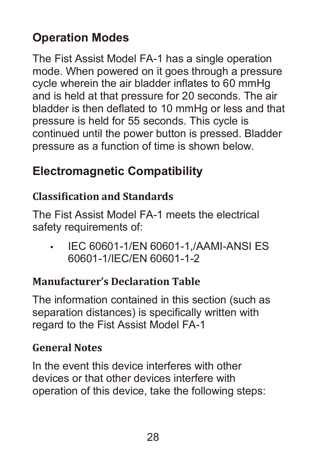## **Operation Modes**

The Fist Assist Model FA-1 has a single operation mode. When powered on it goes through a pressure cycle wherein the air bladder inflates to 60 mmHg and is held at that pressure for 20 seconds. The air bladder is then deflated to 10 mmHg or less and that pressure is held for 55 seconds. This cycle is continued until the power button is pressed. Bladder pressure as a function of time is shown below.

### **Electromagnetic Compatibility**

#### **Classi�ication and Standards**

The Fist Assist Model FA-1 meets the electrical safety requirements of:

• IEC 60601-1/EN 60601-1,/AAMI-ANSI ES 60601-1/IEC/EN 60601-1-2

#### **Manufacturer's Declaration Table**

The information contained in this section (such as separation distances) is specifically written with regard to the Fist Assist Model FA-1

#### **General Notes**

In the event this device interferes with other devices or that other devices interfere with operation of this device, take the following steps: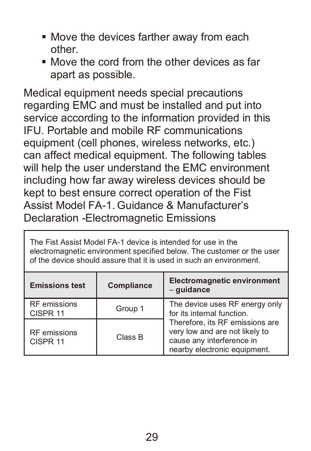- Move the devices farther away from each other.
- Move the cord from the other devices as far apart as possible.

Medical equipment needs special precautions regarding EMC and must be installed and put into service according to the information provided in this IFU. Portable and mobile RF communications equipment (cell phones, wireless networks, etc.) can affect medical equipment. The following tables will help the user understand the EMC environment including how far away wireless devices should be kept to best ensure correct operation of the Fist Assist Model FA-1. Guidance & Manufacturer's Declaration -Electromagnetic Emissions

The Fist Assist Model FA-1 device is intended for use in the electromagnetic environment specified below. The customer or the user of the device should assure that it is used in such an environment.

| <b>Emissions test</b>               | Compliance | <b>Electromagnetic environment</b><br>- quidance                                                                               |
|-------------------------------------|------------|--------------------------------------------------------------------------------------------------------------------------------|
| RF emissions<br>CISPR 11            | Group 1    | The device uses RF energy only<br>for its internal function.                                                                   |
| RF emissions<br>CISPR <sub>11</sub> | Class B    | Therefore, its RF emissions are<br>very low and are not likely to<br>cause any interference in<br>nearby electronic equipment. |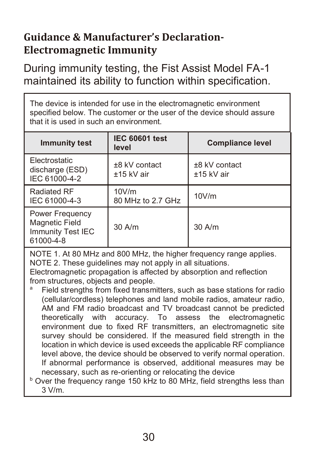#### **Guidance & Manufacturer's Declaration-Electromagnetic Immunity**

During immunity testing, the Fist Assist Model FA-1 maintained its ability to function within specification.

The device is intended for use in the electromagnetic environment specified below. The customer or the user of the device should assure that it is used in such an environment.

| <b>Immunity test</b>                                                       | <b>IEC 60601 test</b><br>level | <b>Compliance level</b>       |
|----------------------------------------------------------------------------|--------------------------------|-------------------------------|
| Electrostatic<br>discharge (ESD)<br>IEC 61000-4-2                          | ±8 kV contact<br>±15 kV air    | $±8$ kV contact<br>±15 kV air |
| Radiated RF<br>IEC 61000-4-3                                               | 10V/m<br>80 MHz to 2.7 GHz     | 10V/m                         |
| Power Frequency<br><b>Magnetic Field</b><br>Immunity Test IEC<br>61000-4-8 | $30$ A/m                       | $30$ A/m                      |

NOTE 1. At 80 MHz and 800 MHz, the higher frequency range applies. NOTE 2. These guidelines may not apply in all situations.

Electromagnetic propagation is affected by absorption and reflection from structures, objects and people.

Field strengths from fixed transmitters, such as base stations for radio (cellular/cordless) telephones and land mobile radios, amateur radio, AM and FM radio broadcast and TV broadcast cannot be predicted theoretically with accuracy. To assess the electromagnetic environment due to fixed RF transmitters, an electromagnetic site survey should be considered. If the measured field strength in the location in which device is used exceeds the applicable RF compliance level above, the device should be observed to verify normal operation. If abnormal performance is observed, additional measures may be necessary, such as re-orienting or relocating the device

<sup>b</sup> Over the frequency range 150 kHz to 80 MHz, field strengths less than 3 V/m.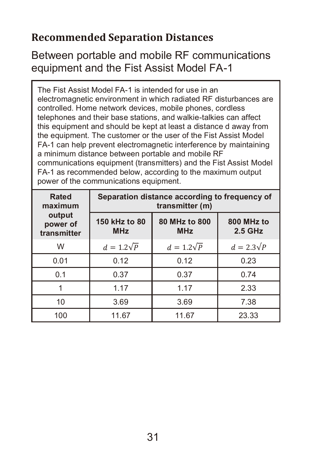#### **Recommended Separation Distances**

#### Between portable and mobile RF communications equipment and the Fist Assist Model FA-1

The Fist Assist Model FA-1 is intended for use in an electromagnetic environment in which radiated RF disturbances are controlled. Home network devices, mobile phones, cordless telephones and their base stations, and walkie-talkies can affect this equipment and should be kept at least a distance d away from the equipment. The customer or the user of the Fist Assist Model FA-1 can help prevent electromagnetic interference by maintaining a minimum distance between portable and mobile RF communications equipment (transmitters) and the Fist Assist Model FA-1 as recommended below, according to the maximum output power of the communications equipment.

| Rated<br>maximum                  | Separation distance according to frequency of<br>transmitter (m) |                             |                       |  |
|-----------------------------------|------------------------------------------------------------------|-----------------------------|-----------------------|--|
| output<br>power of<br>transmitter | 150 kHz to 80<br><b>MHz</b>                                      | 80 MHz to 800<br><b>MHz</b> | 800 MHz to<br>2.5 GHz |  |
| W                                 | $d = 1.2\sqrt{P}$                                                | $d = 1.2\sqrt{P}$           | $d = 2.3\sqrt{P}$     |  |
| 0.01                              | 0.12                                                             | 0.12                        | 0.23                  |  |
| 0.1                               | 0.37                                                             | 0.37                        | 0.74                  |  |
|                                   | 1.17                                                             | 1.17                        | 2.33                  |  |
| 10                                | 3.69                                                             | 3.69                        | 7.38                  |  |
| 100                               | 11.67                                                            | 11.67                       | 23.33                 |  |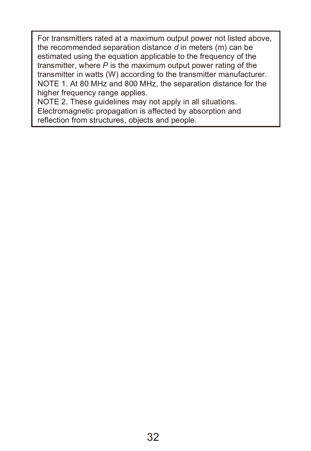For transmitters rated at a maximum output power not listed above, the recommended separation distance *d* in meters (m) can be estimated using the equation applicable to the frequency of the transmitter, where *P* is the maximum output power rating of the transmitter in watts (W) according to the transmitter manufacturer. NOTE 1. At 80 MHz and 800 MHz, the separation distance for the higher frequency range applies.

NOTE 2. These guidelines may not apply in all situations. Electromagnetic propagation is affected by absorption and reflection from structures, objects and people.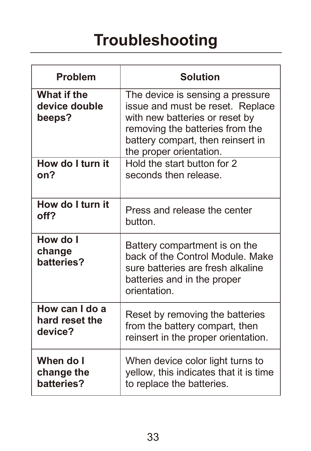| <b>Problem</b>                         | <b>Solution</b>                                                                                                                                                                                           |  |
|----------------------------------------|-----------------------------------------------------------------------------------------------------------------------------------------------------------------------------------------------------------|--|
| What if the<br>device double<br>beeps? | The device is sensing a pressure<br>issue and must be reset. Replace<br>with new batteries or reset by<br>removing the batteries from the<br>battery compart, then reinsert in<br>the proper orientation. |  |
| How do I turn it                       | Hold the start button for 2                                                                                                                                                                               |  |
| on?                                    | seconds then release.                                                                                                                                                                                     |  |
| How do I turn it                       | Press and release the center                                                                                                                                                                              |  |
| off?                                   | button.                                                                                                                                                                                                   |  |
| How do I<br>change<br>batteries?       | Battery compartment is on the<br>back of the Control Module, Make<br>sure batteries are fresh alkaline<br>batteries and in the proper<br>orientation.                                                     |  |
| How can I do a                         | Reset by removing the batteries                                                                                                                                                                           |  |
| hard reset the                         | from the battery compart, then                                                                                                                                                                            |  |
| device?                                | reinsert in the proper orientation.                                                                                                                                                                       |  |
| When do I                              | When device color light turns to                                                                                                                                                                          |  |
| change the                             | yellow, this indicates that it is time                                                                                                                                                                    |  |
| batteries?                             | to replace the batteries.                                                                                                                                                                                 |  |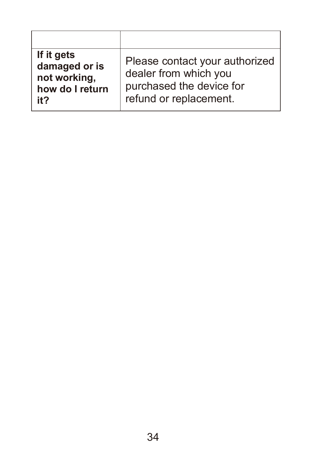| If it gets<br>damaged or is<br>not working,<br>how do I return<br>it? | Please contact your authorized<br>dealer from which you<br>purchased the device for<br>refund or replacement. |
|-----------------------------------------------------------------------|---------------------------------------------------------------------------------------------------------------|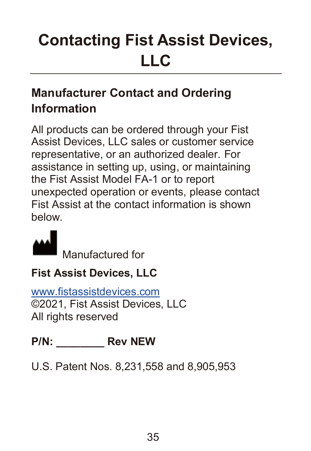# **Contacting Fist Assist Devices, LLC**

## **Manufacturer Contact and Ordering Information**

All products can be ordered through your Fist Assist Devices, LLC sales or customer service representative, or an authorized dealer. For assistance in setting up, using, or maintaining the Fist Assist Model FA-1 or to report unexpected operation or events, please contact Fist Assist at the contact information is shown below.



Manufactured for

### **Fist Assist Devices, LLC**

www.fistassistdevices.com ©2021, Fist Assist Devices, LLC All rights reserved

### **P/N: \_\_\_\_\_\_\_\_ Rev NEW**

U.S. Patent Nos. 8,231,558 and 8,905,953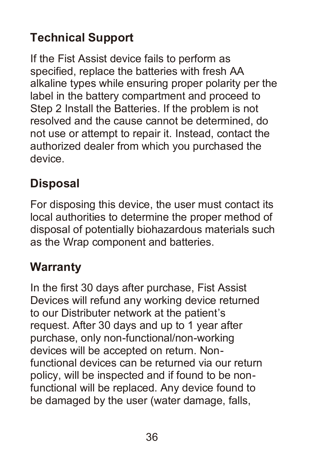## **Technical Support**

If the Fist Assist device fails to perform as specified, replace the batteries with fresh AA alkaline types while ensuring proper polarity per the label in the battery compartment and proceed to Step 2 Install the Batteries. If the problem is not resolved and the cause cannot be determined, do not use or attempt to repair it. Instead, contact the authorized dealer from which you purchased the device.

## **Disposal**

For disposing this device, the user must contact its local authorities to determine the proper method of disposal of potentially biohazardous materials such as the Wrap component and batteries.

### **Warranty**

In the first 30 days after purchase, Fist Assist Devices will refund any working device returned to our Distributer network at the patient's request. After 30 days and up to 1 year after purchase, only non-functional/non-working devices will be accepted on return. Nonfunctional devices can be returned via our return policy, will be inspected and if found to be nonfunctional will be replaced. Any device found to be damaged by the user (water damage, falls,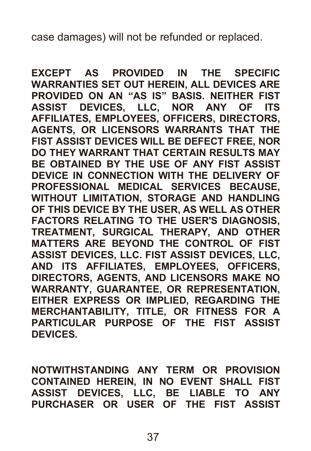case damages) will not be refunded or replaced.

**EXCEPT AS PROVIDED IN THE SPECIFIC WARRANTIES SET OUT HEREIN, ALL DEVICES ARE PROVIDED ON AN "AS IS" BASIS. NEITHER FIST ASSIST DEVICES, LLC, NOR ANY OF ITS AFFILIATES, EMPLOYEES, OFFICERS, DIRECTORS, AGENTS, OR LICENSORS WARRANTS THAT THE FIST ASSIST DEVICES WILL BE DEFECT FREE, NOR DO THEY WARRANT THAT CERTAIN RESULTS MAY BE OBTAINED BY THE USE OF ANY FIST ASSIST DEVICE IN CONNECTION WITH THE DELIVERY OF PROFESSIONAL MEDICAL SERVICES BECAUSE, WITHOUT LIMITATION, STORAGE AND HANDLING OF THIS DEVICE BY THE USER, AS WELL AS OTHER FACTORS RELATING TO THE USER'S DIAGNOSIS, TREATMENT, SURGICAL THERAPY, AND OTHER MATTERS ARE BEYOND THE CONTROL OF FIST ASSIST DEVICES, LLC. FIST ASSIST DEVICES, LLC, AND ITS AFFILIATES, EMPLOYEES, OFFICERS, DIRECTORS, AGENTS, AND LICENSORS MAKE NO WARRANTY, GUARANTEE, OR REPRESENTATION, EITHER EXPRESS OR IMPLIED, REGARDING THE MERCHANTABILITY, TITLE, OR FITNESS FOR A PARTICULAR PURPOSE OF THE FIST ASSIST DEVICES.**

**NOTWITHSTANDING ANY TERM OR PROVISION CONTAINED HEREIN, IN NO EVENT SHALL FIST ASSIST DEVICES, LLC, BE LIABLE TO ANY PURCHASER OR USER OF THE FIST ASSIST**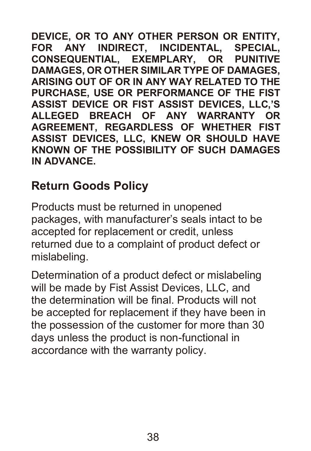**DEVICE, OR TO ANY OTHER PERSON OR ENTITY, FOR ANY INDIRECT, INCIDENTAL, SPECIAL,**  $CONSEQUENTIAL$ , **EXEMPLARY, OR DAMAGES, OR OTHER SIMILAR TYPE OF DAMAGES, ARISING OUT OF OR IN ANY WAY RELATED TO THE PURCHASE, USE OR PERFORMANCE OF THE FIST ASSIST DEVICE OR FIST ASSIST DEVICES, LLC,'S ALLEGED BREACH OF ANY WARRANTY OR AGREEMENT, REGARDLESS OF WHETHER FIST ASSIST DEVICES, LLC, KNEW OR SHOULD HAVE KNOWN OF THE POSSIBILITY OF SUCH DAMAGES IN ADVANCE.**

### **Return Goods Policy**

Products must be returned in unopened packages, with manufacturer's seals intact to be accepted for replacement or credit, unless returned due to a complaint of product defect or mislabeling.

Determination of a product defect or mislabeling will be made by Fist Assist Devices, LLC, and the determination will be final. Products will not be accepted for replacement if they have been in the possession of the customer for more than 30 days unless the product is non-functional in accordance with the warranty policy.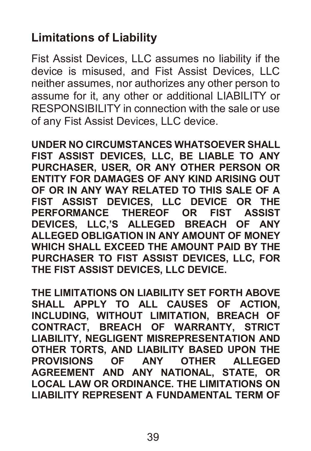## **Limitations of Liability**

Fist Assist Devices, LLC assumes no liability if the device is misused, and Fist Assist Devices, LLC neither assumes, nor authorizes any other person to assume for it, any other or additional LIABILITY or RESPONSIBILITY in connection with the sale or use of any Fist Assist Devices, LLC device.

**UNDER NO CIRCUMSTANCES WHATSOEVER SHALL FIST ASSIST DEVICES, LLC, BE LIABLE TO ANY PURCHASER, USER, OR ANY OTHER PERSON OR ENTITY FOR DAMAGES OF ANY KIND ARISING OUT OF OR IN ANY WAY RELATED TO THIS SALE OF A FIST ASSIST DEVICES, LLC DEVICE OR THE PERFORMANCE THEREOF OR FIST ASSIST DEVICES, LLC,'S ALLEGED BREACH OF ANY ALLEGED OBLIGATION IN ANY AMOUNT OF MONEY WHICH SHALL EXCEED THE AMOUNT PAID BY THE PURCHASER TO FIST ASSIST DEVICES, LLC, FOR THE FIST ASSIST DEVICES, LLC DEVICE.**

**THE LIMITATIONS ON LIABILITY SET FORTH ABOVE SHALL APPLY TO ALL CAUSES OF ACTION, INCLUDING, WITHOUT LIMITATION, BREACH OF CONTRACT, BREACH OF WARRANTY, STRICT LIABILITY, NEGLIGENT MISREPRESENTATION AND OTHER TORTS, AND LIABILITY BASED UPON THE PROVISIONS OF ANY OTHER ALLEGED AGREEMENT AND ANY NATIONAL, STATE, OR LOCAL LAW OR ORDINANCE. THE LIMITATIONS ON LIABILITY REPRESENT A FUNDAMENTAL TERM OF**